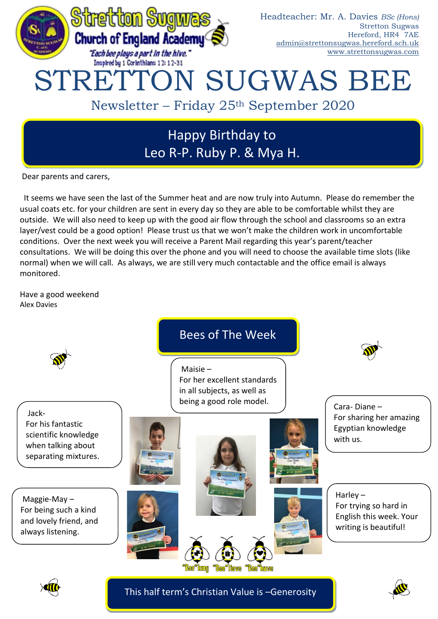

Leo R-P. Ruby P. & Mya H.

Dear parents and carers,

It seems we have seen the last of the Summer heat and are now truly into Autumn. Please do remember the usual coats etc. for your children are sent in every day so they are able to be comfortable whilst they are outside. We will also need to keep up with the good air flow through the school and classrooms so an extra layer/vest could be a good option! Please trust us that we won't make the children work in uncomfortable conditions. Over the next week you will receive a Parent Mail regarding this year's parent/teacher consultations. We will be doing this over the phone and you will need to choose the available time slots (like normal) when we will call. As always, we are still very much contactable and the office email is always monitored.

Have a good weekend Alex Davies





This half term's Christian Value is –Generosity